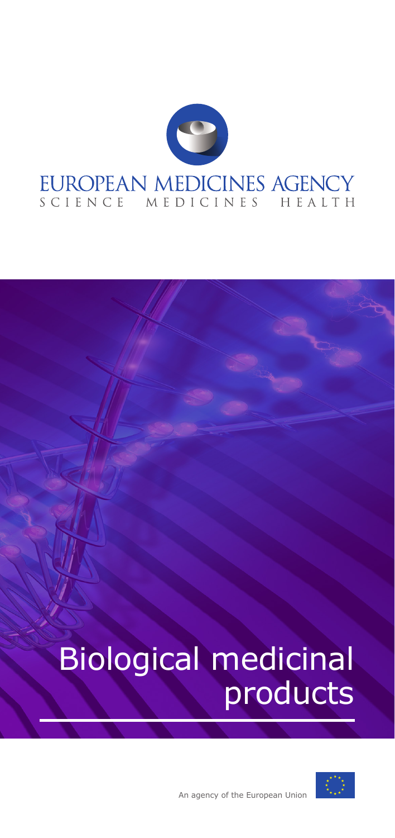

# Biological medicinal products

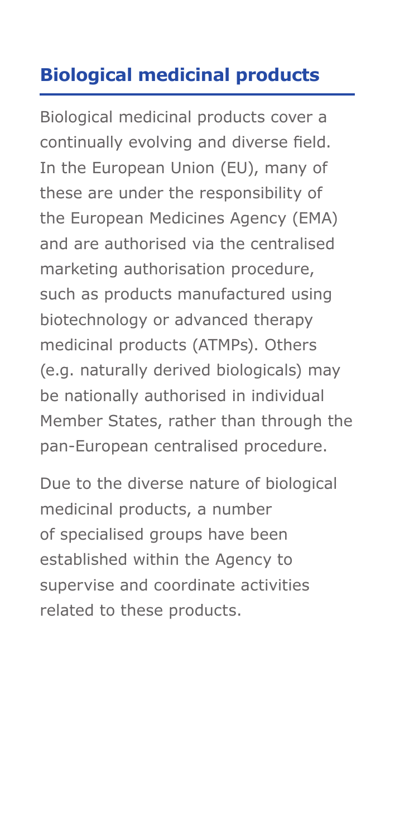## **Biological medicinal products**

Biological medicinal products cover a continually evolving and diverse field. In the European Union (EU), many of these are under the responsibility of the European Medicines Agency (EMA) and are authorised via the centralised marketing authorisation procedure, such as products manufactured using biotechnology or advanced therapy medicinal products (ATMPs). Others (e.g. naturally derived biologicals) may be nationally authorised in individual Member States, rather than through the pan-European centralised procedure.

Due to the diverse nature of biological medicinal products, a number of specialised groups have been established within the Agency to supervise and coordinate activities related to these products.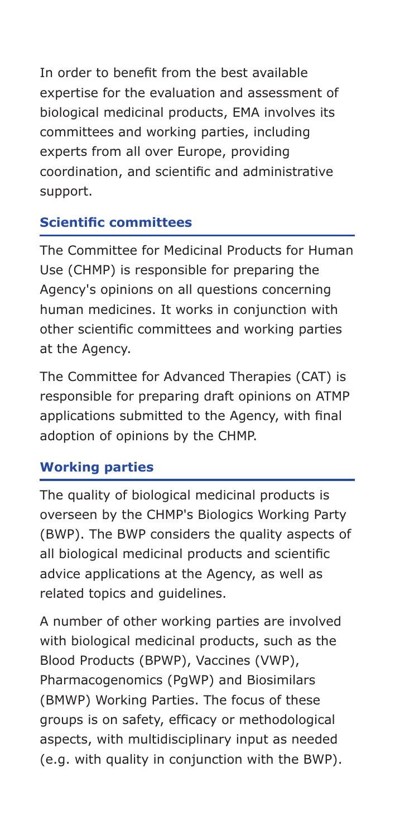In order to benefit from the best available expertise for the evaluation and assessment of biological medicinal products, EMA involves its committees and working parties, including experts from all over Europe, providing coordination, and scientific and administrative support.

#### **Scientific committees**

The Committee for Medicinal Products for Human Use (CHMP) is responsible for preparing the Agency's opinions on all questions concerning human medicines. It works in conjunction with other scientific committees and working parties at the Agency.

The Committee for Advanced Therapies (CAT) is responsible for preparing draft opinions on ATMP applications submitted to the Agency, with final adoption of opinions by the CHMP.

### **Working parties**

The quality of biological medicinal products is overseen by the CHMP's Biologics Working Party (BWP). The BWP considers the quality aspects of all biological medicinal products and scientific advice applications at the Agency, as well as related topics and guidelines.

A number of other working parties are involved with biological medicinal products, such as the Blood Products (BPWP), Vaccines (VWP), Pharmacogenomics (PgWP) and Biosimilars (BMWP) Working Parties. The focus of these groups is on safety, efficacy or methodological aspects, with multidisciplinary input as needed (e.g. with quality in conjunction with the BWP).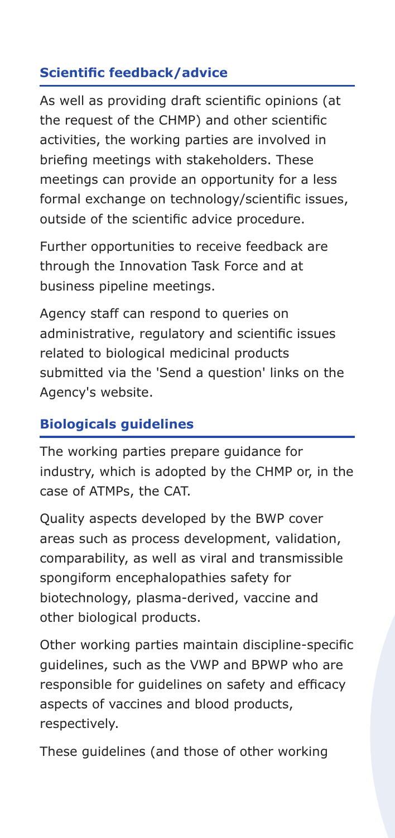## **Scientific feedback/advice**

As well as providing draft scientific opinions (at the request of the CHMP) and other scientific activities, the working parties are involved in briefing meetings with stakeholders. These meetings can provide an opportunity for a less formal exchange on technology/scientific issues, outside of the scientific advice procedure.

Further opportunities to receive feedback are through the Innovation Task Force and at business pipeline meetings.

Agency staff can respond to queries on administrative, regulatory and scientific issues related to biological medicinal products submitted via the 'Send a question' links on the Agency's website.

### **Biologicals guidelines**

The working parties prepare guidance for industry, which is adopted by the CHMP or, in the case of ATMPs, the CAT.

Quality aspects developed by the BWP cover areas such as process development, validation, comparability, as well as viral and transmissible spongiform encephalopathies safety for biotechnology, plasma-derived, vaccine and other biological products.

Other working parties maintain discipline-specific guidelines, such as the VWP and BPWP who are responsible for guidelines on safety and efficacy aspects of vaccines and blood products, respectively.

These guidelines (and those of other working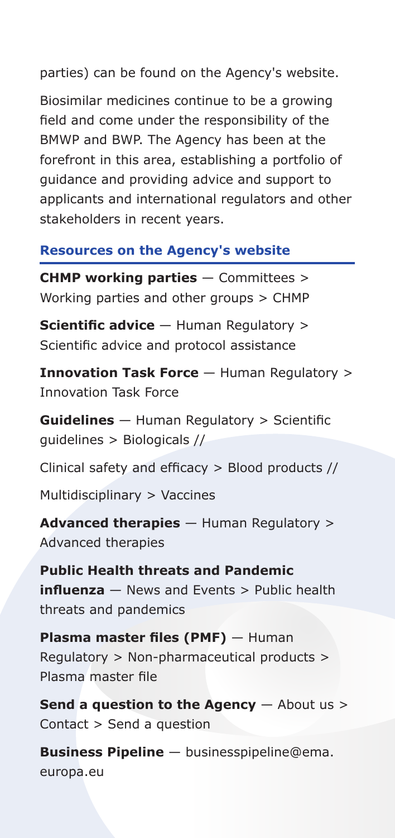parties) can be found on the Agency's website.

Biosimilar medicines continue to be a growing field and come under the responsibility of the BMWP and BWP. The Agency has been at the forefront in this area, establishing a portfolio of guidance and providing advice and support to applicants and international regulators and other stakeholders in recent years.

#### **Resources on the Agency's website**

**CHMP working parties** — Committees > Working parties and other groups > CHMP

**Scientific advice** — Human Regulatory > Scientific advice and protocol assistance

**Innovation Task Force** — Human Regulatory > Innovation Task Force

**Guidelines** — Human Regulatory > Scientific guidelines > Biologicals //

Clinical safety and efficacy > Blood products //

Multidisciplinary > Vaccines

**Advanced therapies** — Human Regulatory > Advanced therapies

**Public Health threats and Pandemic influenza** — News and Events > Public health threats and pandemics

**Plasma master files (PMF)** — Human Regulatory > Non-pharmaceutical products > Plasma master file

**Send a question to the Agency**  $-$  About us > Contact > Send a question

**Business Pipeline** — businesspipeline@ema. europa.eu